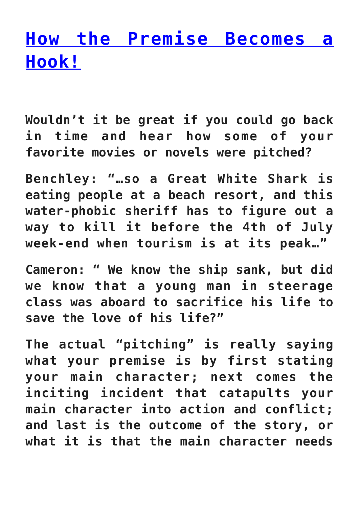## **[How the Premise Becomes a](https://jcad18.org/2015/09/how-the-premise-becomes-a-hook/) [Hook!](https://jcad18.org/2015/09/how-the-premise-becomes-a-hook/)**

**Wouldn't it be great if you could go back in time and hear how some of your favorite movies or novels were pitched?**

**Benchley: "…so a Great White Shark is eating people at a beach resort, and this water-phobic sheriff has to figure out a way to kill it before the 4th of July week-end when tourism is at its peak…"**

**Cameron: " We know the ship sank, but did we know that a young man in steerage class was aboard to sacrifice his life to save the love of his life?"**

**The actual "pitching" is really saying what your premise is by first stating your main character; next comes the inciting incident that catapults your main character into action and conflict; and last is the outcome of the story, or what it is that the main character needs**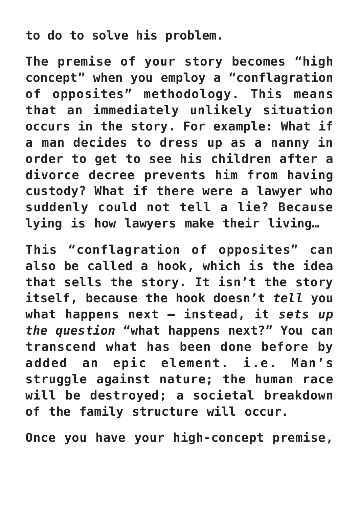## **to do to solve his problem.**

**The premise of your story becomes "high concept" when you employ a "conflagration of opposites" methodology. This means that an immediately unlikely situation occurs in the story. For example: What if a man decides to dress up as a nanny in order to get to see his children after a divorce decree prevents him from having custody? What if there were a lawyer who suddenly could not tell a lie? Because lying is how lawyers make their living…**

**This "conflagration of opposites" can also be called a hook, which is the idea that sells the story. It isn't the story itself, because the hook doesn't** *tell* **you what happens next – instead, it** *sets up the question* **"what happens next?" You can transcend what has been done before by added an epic element. i.e. Man's struggle against nature; the human race will be destroyed; a societal breakdown of the family structure will occur.**

**Once you have your high-concept premise,**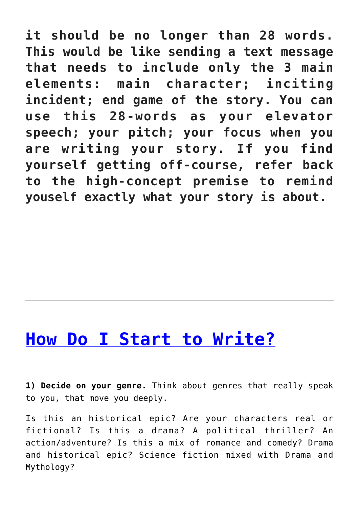**it should be no longer than 28 words. This would be like sending a text message that needs to include only the 3 main elements: main character; inciting incident; end game of the story. You can use this 28-words as your elevator speech; your pitch; your focus when you are writing your story. If you find yourself getting off-course, refer back to the high-concept premise to remind youself exactly what your story is about.**

## **[How Do I Start to Write?](https://jcad18.org/2015/07/how-do-i-start-to-write/)**

**1) Decide on your genre.** Think about genres that really speak to you, that move you deeply.

Is this an historical epic? Are your characters real or fictional? Is this a drama? A political thriller? An action/adventure? Is this a mix of romance and comedy? Drama and historical epic? Science fiction mixed with Drama and Mythology?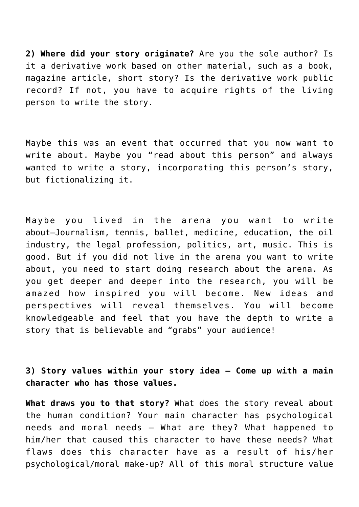**2) Where did your story originate?** Are you the sole author? Is it a derivative work based on other material, such as a book, magazine article, short story? Is the derivative work public record? If not, you have to acquire rights of the living person to write the story.

Maybe this was an event that occurred that you now want to write about. Maybe you "read about this person" and always wanted to write a story, incorporating this person's story, but fictionalizing it.

Maybe you lived in the arena you want to write about—Journalism, tennis, ballet, medicine, education, the oil industry, the legal profession, politics, art, music. This is good. But if you did not live in the arena you want to write about, you need to start doing research about the arena. As you get deeper and deeper into the research, you will be amazed how inspired you will become. New ideas and perspectives will reveal themselves. You will become knowledgeable and feel that you have the depth to write a story that is believable and "grabs" your audience!

**3) Story values within your story idea – Come up with a main character who has those values.**

**What draws you to that story?** What does the story reveal about the human condition? Your main character has psychological needs and moral needs – What are they? What happened to him/her that caused this character to have these needs? What flaws does this character have as a result of his/her psychological/moral make-up? All of this moral structure value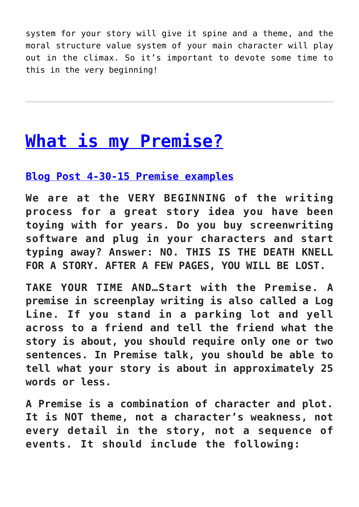system for your story will give it spine and a theme, and the moral structure value system of your main character will play out in the climax. So it's important to devote some time to this in the very beginning!

## **[What is my Premise?](https://jcad18.org/2015/04/what-is-my-premise/)**

**[Blog Post 4-30-15 Premise examples](https://jcad18.org/wp-content/uploads/2015/04/Blog-Post-4-30-15-Premise-examples.pdf)**

**We are at the VERY BEGINNING of the writing process for a great story idea you have been toying with for years. Do you buy screenwriting software and plug in your characters and start typing away? Answer: NO. THIS IS THE DEATH KNELL FOR A STORY. AFTER A FEW PAGES, YOU WILL BE LOST.**

**TAKE YOUR TIME AND…Start with the Premise. A premise in screenplay writing is also called a Log Line. If you stand in a parking lot and yell across to a friend and tell the friend what the story is about, you should require only one or two sentences. In Premise talk, you should be able to tell what your story is about in approximately 25 words or less.**

**A Premise is a combination of character and plot. It is NOT theme, not a character's weakness, not every detail in the story, not a sequence of events. It should include the following:**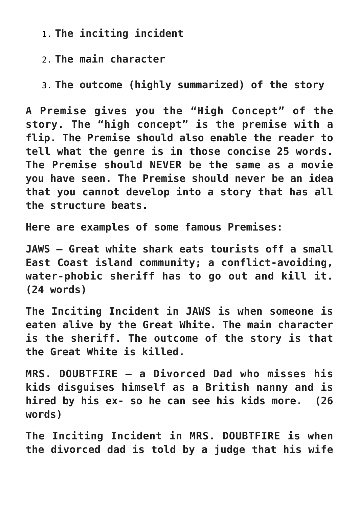1. **The inciting incident**

2. **The main character**

3. **The outcome (highly summarized) of the story**

**A Premise gives you the "High Concept" of the story. The "high concept" is the premise with a flip. The Premise should also enable the reader to tell what the genre is in those concise 25 words. The Premise should NEVER be the same as a movie you have seen. The Premise should never be an idea that you cannot develop into a story that has all the structure beats.**

**Here are examples of some famous Premises:**

**JAWS – Great white shark eats tourists off a small East Coast island community; a conflict-avoiding, water-phobic sheriff has to go out and kill it. (24 words)**

**The Inciting Incident in JAWS is when someone is eaten alive by the Great White. The main character is the sheriff. The outcome of the story is that the Great White is killed.**

**MRS. DOUBTFIRE – a Divorced Dad who misses his kids disguises himself as a British nanny and is hired by his ex- so he can see his kids more. (26 words)**

**The Inciting Incident in MRS. DOUBTFIRE is when the divorced dad is told by a judge that his wife**